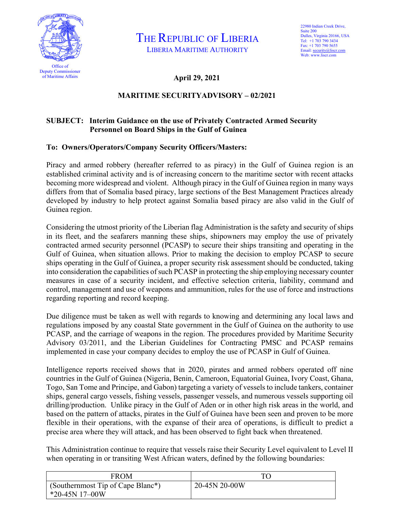

THE REPUBLIC OF LIBERIA LIBERIA MARITIME AUTHORITY

**April 29, 2021**

## **MARITIME SECURITYADVISORY – 02/2021**

## **SUBJECT: Interim Guidance on the use of Privately Contracted Armed Security Personnel on Board Ships in the Gulf of Guinea**

## **To: Owners/Operators/Company Security Officers/Masters:**

Piracy and armed robbery (hereafter referred to as piracy) in the Gulf of Guinea region is an established criminal activity and is of increasing concern to the maritime sector with recent attacks becoming more widespread and violent. Although piracy in the Gulf of Guinea region in many ways differs from that of Somalia based piracy, large sections of the Best Management Practices already developed by industry to help protect against Somalia based piracy are also valid in the Gulf of Guinea region.

Considering the utmost priority of the Liberian flag Administration is the safety and security of ships in its fleet, and the seafarers manning these ships, shipowners may employ the use of privately contracted armed security personnel (PCASP) to secure their ships transiting and operating in the Gulf of Guinea, when situation allows. Prior to making the decision to employ PCASP to secure ships operating in the Gulf of Guinea, a proper security risk assessment should be conducted, taking into consideration the capabilities of such PCASP in protecting the ship employing necessary counter measures in case of a security incident, and effective selection criteria, liability, command and control, management and use of weapons and ammunition, rules for the use of force and instructions regarding reporting and record keeping.

Due diligence must be taken as well with regards to knowing and determining any local laws and regulations imposed by any coastal State government in the Gulf of Guinea on the authority to use PCASP, and the carriage of weapons in the region. The procedures provided by Maritime Security Advisory 03/2011, and the Liberian Guidelines for Contracting PMSC and PCASP remains implemented in case your company decides to employ the use of PCASP in Gulf of Guinea.

Intelligence reports received shows that in 2020, pirates and armed robbers operated off nine countries in the Gulf of Guinea (Nigeria, Benin, Cameroon, Equatorial Guinea, Ivory Coast, Ghana, Togo, San Tome and Principe, and Gabon) targeting a variety of vessels to include tankers, container ships, general cargo vessels, fishing vessels, passenger vessels, and numerous vessels supporting oil drilling/production. Unlike piracy in the Gulf of Aden or in other high risk areas in the world, and based on the pattern of attacks, pirates in the Gulf of Guinea have been seen and proven to be more flexible in their operations, with the expanse of their area of operations, is difficult to predict a precise area where they will attack, and has been observed to fight back when threatened.

This Administration continue to require that vessels raise their Security Level equivalent to Level II when operating in or transiting West African waters, defined by the following boundaries:

| FROM                                                               | ТC            |
|--------------------------------------------------------------------|---------------|
| (Southernmost Tip of Cape Blanc <sup>*</sup> )<br>$*20-45N$ 17-00W | 20-45N 20-00W |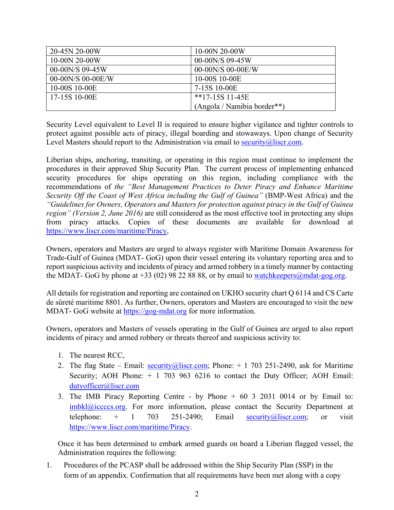| 20-45N 20-00W     | 10-00N 20-00W               |
|-------------------|-----------------------------|
| 10-00N 20-00W     | 00-00N/S 09-45W             |
| 00-00N/S 09-45W   | $00-00N/S$ 00-00E/W         |
| 00-00N/S 00-00E/W | 10-00S 10-00E               |
| 10-00S 10-00E     | 7-15S 10-00E                |
| 17-15S 10-00E     | $*17-15S$ 11-45E            |
|                   | (Angola / Namibia border**) |

Security Level equivalent to Level II is required to ensure higher vigilance and tighter controls to protect against possible acts of piracy, illegal boarding and stowaways. Upon change of Security Level Masters should report to the Administration via email to [security@liscr.com.](mailto:security@liscr.com)

Liberian ships, anchoring, transiting, or operating in this region must continue to implement the procedures in their approved Ship Security Plan. The current process of implementing enhanced security procedures for ships operating on this region, including compliance with the recommendations of *the "Best Management Practices to Deter Piracy and Enhance Maritime Security Off the Coast of West Africa including the Gulf of Guinea"* (BMP-West Africa) and the *"Guidelines for Owners, Operators and Masters for protection against piracy in the Gulf of Guinea region" (Version 2, June 2016)* are still considered as the most effective tool in protecting any ships from piracy attacks. Copies of these documents are available for download at [https://www.liscr.com/maritime/Piracy,](https://www.liscr.com/maritime/Piracy)

Owners, operators and Masters are urged to always register with Maritime Domain Awareness for Trade-Gulf of Guinea (MDAT- GoG) upon their vessel entering its voluntary reporting area and to report suspicious activity and incidents of piracy and armed robbery in a timely manner by contacting the MDAT- GoG by phone at +33 (02) 98 22 88 88, or by email to [watchkeepers@mdat-gog.org.](mailto:watchkeepers@mdat-gog.org)

All details for registration and reporting are contained on UKHO security chart Q 6114 and CS Carte de sûreté maritime 8801. As further, Owners, operators and Masters are encouraged to visit the new MDAT- GoG website at [https://gog-mdat.org](https://gog-mdat.org/) for more information.

Owners, operators and Masters of vessels operating in the Gulf of Guinea are urged to also report incidents of piracy and armed robbery or threats thereof and suspicious activity to:

- 1. The nearest RCC,
- 2. The flag State Email: [security@liscr.com;](mailto:security@liscr.com) Phone:  $+1$  703 251-2490, ask for Maritime Security; AOH Phone:  $+ 1$  703 963 6216 to contact the Duty Officer; AOH Email: [dutyofficer@liscr.com](mailto:dutyofficer@liscr.com)
- 3. The IMB Piracy Reporting Centre by Phone + 60 3 2031 0014 or by Email to:  $\frac{\text{imbk}}{2\text{c} \cdot \text{c} \cdot \text{c} \cdot \text{c} \cdot \text{c} \cdot \text{c}}$  For more information, please contact the Security Department at telephone:  $+$  1 703 251-2490; Email [security@liscr.com;](mailto:security@liscr.com) or visit [https://www.liscr.com/maritime/Piracy.](https://www.liscr.com/maritime/Piracy)

Once it has been determined to embark armed guards on board a Liberian flagged vessel, the Administration requires the following:

1. Procedures of the PCASP shall be addressed within the Ship Security Plan (SSP) in the form of an appendix. Confirmation that all requirements have been met along with a copy